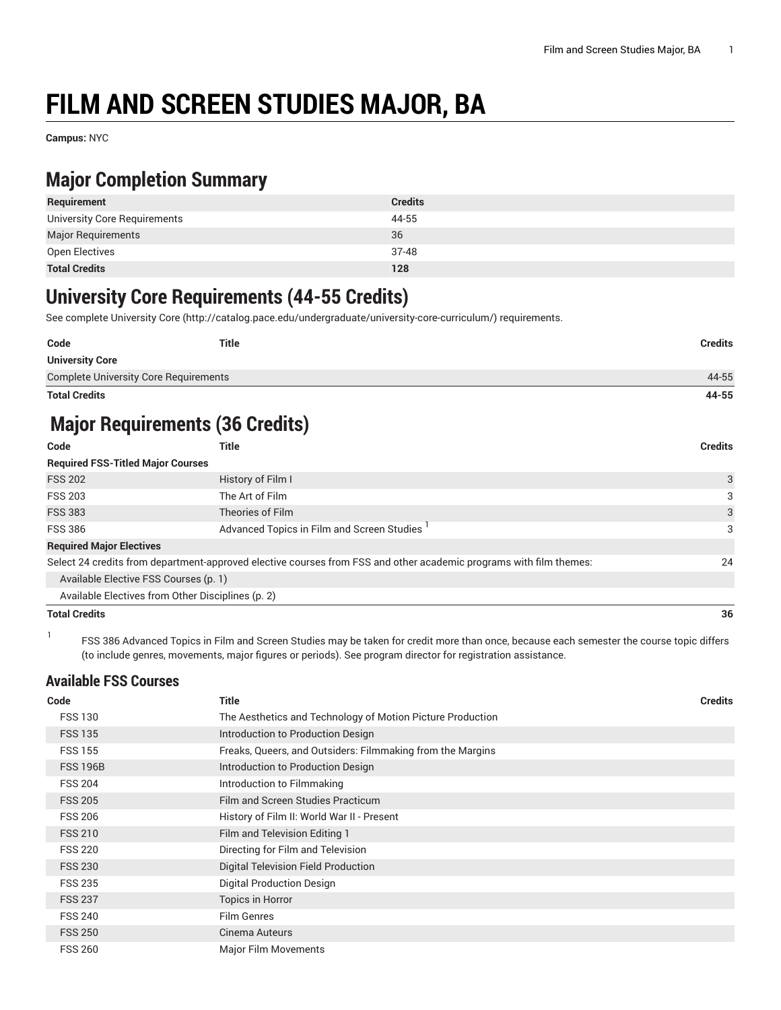# **FILM AND SCREEN STUDIES MAJOR, BA**

**Campus:** NYC

## **Major Completion Summary**

| Requirement                  | <b>Credits</b> |
|------------------------------|----------------|
| University Core Requirements | 44-55          |
| <b>Major Requirements</b>    | 36             |
| Open Electives               | 37-48          |
| <b>Total Credits</b>         | 128            |

### **University Core Requirements (44-55 Credits)**

See complete [University](http://catalog.pace.edu/undergraduate/university-core-curriculum/) Core (<http://catalog.pace.edu/undergraduate/university-core-curriculum/>) requirements.

| Code                                         | <b>Title</b> | <b>Credits</b> |
|----------------------------------------------|--------------|----------------|
| <b>University Core</b>                       |              |                |
| <b>Complete University Core Requirements</b> |              | 44-55          |
| <b>Total Credits</b>                         |              | 44-55          |

# **Major Requirements (36 Credits)**

| Code                                     | Title                                                                                                              | <b>Credits</b> |
|------------------------------------------|--------------------------------------------------------------------------------------------------------------------|----------------|
| <b>Required FSS-Titled Major Courses</b> |                                                                                                                    |                |
| <b>FSS 202</b>                           | History of Film I                                                                                                  | 3              |
| <b>FSS 203</b>                           | The Art of Film                                                                                                    | 3              |
| <b>FSS 383</b>                           | Theories of Film                                                                                                   | 3              |
| <b>FSS 386</b>                           | Advanced Topics in Film and Screen Studies                                                                         | 3              |
| <b>Required Major Electives</b>          |                                                                                                                    |                |
|                                          | Select 24 credits from department-approved elective courses from FSS and other academic programs with film themes: | 24             |
| Available Elective FSS Courses (p. 1)    |                                                                                                                    |                |
|                                          | Available Electives from Other Disciplines (p. 2)                                                                  |                |
| <b>Total Credits</b>                     |                                                                                                                    | 36             |

1

FSS 386 Advanced Topics in Film and Screen Studies may be taken for credit more than once, because each semester the course topic differs (to include genres, movements, major figures or periods). See program director for registration assistance.

#### <span id="page-0-0"></span>**Available FSS Courses**

| Code            | <b>Title</b>                                               | <b>Credits</b> |
|-----------------|------------------------------------------------------------|----------------|
| <b>FSS 130</b>  | The Aesthetics and Technology of Motion Picture Production |                |
| <b>FSS 135</b>  | Introduction to Production Design                          |                |
| <b>FSS 155</b>  | Freaks, Queers, and Outsiders: Filmmaking from the Margins |                |
| <b>FSS 196B</b> | Introduction to Production Design                          |                |
| <b>FSS 204</b>  | Introduction to Filmmaking                                 |                |
| <b>FSS 205</b>  | Film and Screen Studies Practicum                          |                |
| <b>FSS 206</b>  | History of Film II: World War II - Present                 |                |
| <b>FSS 210</b>  | Film and Television Editing 1                              |                |
| <b>FSS 220</b>  | Directing for Film and Television                          |                |
| <b>FSS 230</b>  | Digital Television Field Production                        |                |
| <b>FSS 235</b>  | <b>Digital Production Design</b>                           |                |
| <b>FSS 237</b>  | <b>Topics in Horror</b>                                    |                |
| <b>FSS 240</b>  | <b>Film Genres</b>                                         |                |
| <b>FSS 250</b>  | Cinema Auteurs                                             |                |
| <b>FSS 260</b>  | <b>Major Film Movements</b>                                |                |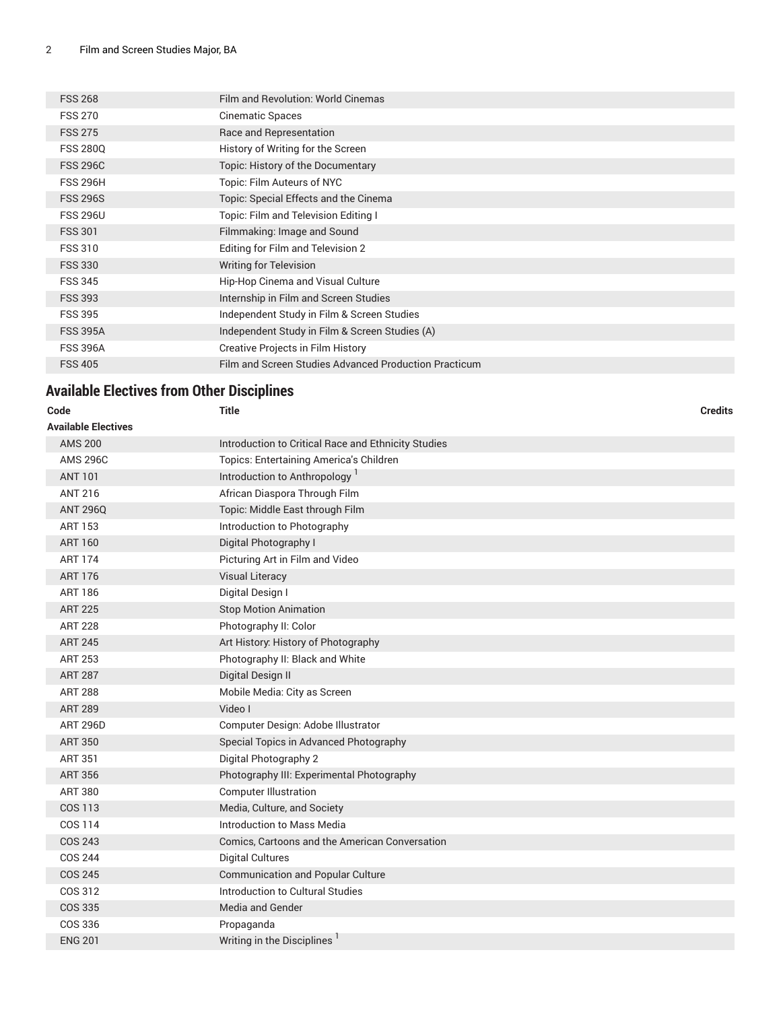| <b>FSS 268</b>  | Film and Revolution: World Cinemas                    |
|-----------------|-------------------------------------------------------|
| <b>FSS 270</b>  | Cinematic Spaces                                      |
| <b>FSS 275</b>  | Race and Representation                               |
| <b>FSS 2800</b> | History of Writing for the Screen                     |
| <b>FSS 296C</b> | Topic: History of the Documentary                     |
| <b>FSS 296H</b> | Topic: Film Auteurs of NYC                            |
| <b>FSS 296S</b> | Topic: Special Effects and the Cinema                 |
| <b>FSS 296U</b> | Topic: Film and Television Editing I                  |
| <b>FSS 301</b>  | Filmmaking: Image and Sound                           |
| <b>FSS 310</b>  | Editing for Film and Television 2                     |
| <b>FSS 330</b>  | <b>Writing for Television</b>                         |
| <b>FSS 345</b>  | Hip-Hop Cinema and Visual Culture                     |
| <b>FSS 393</b>  | Internship in Film and Screen Studies                 |
| <b>FSS 395</b>  | Independent Study in Film & Screen Studies            |
| <b>FSS 395A</b> | Independent Study in Film & Screen Studies (A)        |
| <b>FSS 396A</b> | <b>Creative Projects in Film History</b>              |
| <b>FSS 405</b>  | Film and Screen Studies Advanced Production Practicum |
|                 |                                                       |

### <span id="page-1-0"></span>**Available Electives from Other Disciplines**

| Code                       | <b>Title</b>                                        | <b>Credits</b> |
|----------------------------|-----------------------------------------------------|----------------|
| <b>Available Electives</b> |                                                     |                |
| <b>AMS 200</b>             | Introduction to Critical Race and Ethnicity Studies |                |
| <b>AMS 296C</b>            | Topics: Entertaining America's Children             |                |
| <b>ANT 101</b>             | Introduction to Anthropology <sup>1</sup>           |                |
| <b>ANT 216</b>             | African Diaspora Through Film                       |                |
| <b>ANT 296Q</b>            | Topic: Middle East through Film                     |                |
| <b>ART 153</b>             | Introduction to Photography                         |                |
| <b>ART 160</b>             | Digital Photography I                               |                |
| <b>ART 174</b>             | Picturing Art in Film and Video                     |                |
| <b>ART 176</b>             | <b>Visual Literacy</b>                              |                |
| <b>ART 186</b>             | Digital Design I                                    |                |
| <b>ART 225</b>             | <b>Stop Motion Animation</b>                        |                |
| <b>ART 228</b>             | Photography II: Color                               |                |
| <b>ART 245</b>             | Art History: History of Photography                 |                |
| <b>ART 253</b>             | Photography II: Black and White                     |                |
| <b>ART 287</b>             | Digital Design II                                   |                |
| <b>ART 288</b>             | Mobile Media: City as Screen                        |                |
| <b>ART 289</b>             | Video I                                             |                |
| <b>ART 296D</b>            | Computer Design: Adobe Illustrator                  |                |
| <b>ART 350</b>             | Special Topics in Advanced Photography              |                |
| <b>ART 351</b>             | Digital Photography 2                               |                |
| <b>ART 356</b>             | Photography III: Experimental Photography           |                |
| <b>ART 380</b>             | <b>Computer Illustration</b>                        |                |
| <b>COS 113</b>             | Media, Culture, and Society                         |                |
| COS 114                    | Introduction to Mass Media                          |                |
| <b>COS 243</b>             | Comics, Cartoons and the American Conversation      |                |
| <b>COS 244</b>             | <b>Digital Cultures</b>                             |                |
| <b>COS 245</b>             | <b>Communication and Popular Culture</b>            |                |
| COS 312                    | Introduction to Cultural Studies                    |                |
| <b>COS 335</b>             | Media and Gender                                    |                |
| COS 336                    | Propaganda                                          |                |
| <b>ENG 201</b>             | Writing in the Disciplines                          |                |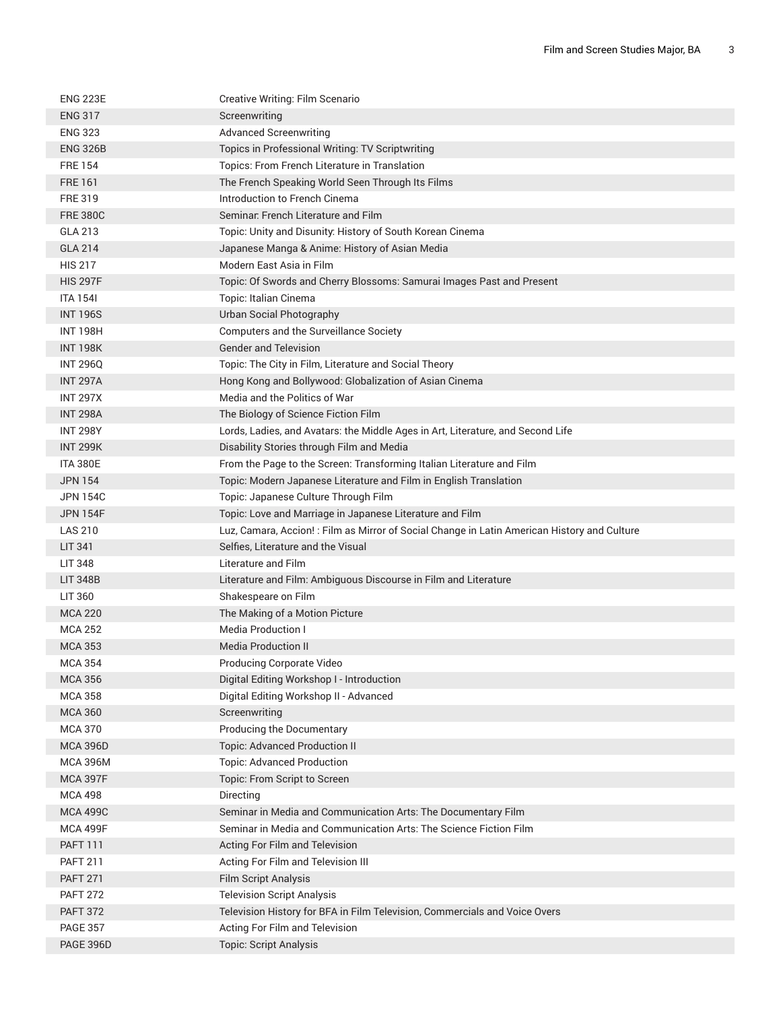| <b>ENG 223E</b> | Creative Writing: Film Scenario                                                              |
|-----------------|----------------------------------------------------------------------------------------------|
| <b>ENG 317</b>  | Screenwriting                                                                                |
| <b>ENG 323</b>  | <b>Advanced Screenwriting</b>                                                                |
| <b>ENG 326B</b> | Topics in Professional Writing: TV Scriptwriting                                             |
| <b>FRE 154</b>  | Topics: From French Literature in Translation                                                |
| <b>FRE 161</b>  | The French Speaking World Seen Through Its Films                                             |
| <b>FRE 319</b>  | Introduction to French Cinema                                                                |
| <b>FRE 380C</b> | Seminar. French Literature and Film                                                          |
| GLA 213         | Topic: Unity and Disunity: History of South Korean Cinema                                    |
| <b>GLA 214</b>  | Japanese Manga & Anime: History of Asian Media                                               |
| <b>HIS 217</b>  | Modern East Asia in Film                                                                     |
| <b>HIS 297F</b> | Topic: Of Swords and Cherry Blossoms: Samurai Images Past and Present                        |
| <b>ITA 1541</b> | Topic: Italian Cinema                                                                        |
| <b>INT 196S</b> | Urban Social Photography                                                                     |
| <b>INT 198H</b> | Computers and the Surveillance Society                                                       |
| <b>INT 198K</b> | <b>Gender and Television</b>                                                                 |
| <b>INT 296Q</b> | Topic: The City in Film, Literature and Social Theory                                        |
| <b>INT 297A</b> | Hong Kong and Bollywood: Globalization of Asian Cinema                                       |
| <b>INT 297X</b> | Media and the Politics of War                                                                |
| <b>INT 298A</b> | The Biology of Science Fiction Film                                                          |
| <b>INT 298Y</b> | Lords, Ladies, and Avatars: the Middle Ages in Art, Literature, and Second Life              |
| <b>INT 299K</b> | Disability Stories through Film and Media                                                    |
| <b>ITA 380E</b> | From the Page to the Screen: Transforming Italian Literature and Film                        |
| <b>JPN 154</b>  | Topic: Modern Japanese Literature and Film in English Translation                            |
| <b>JPN 154C</b> | Topic: Japanese Culture Through Film                                                         |
| <b>JPN 154F</b> | Topic: Love and Marriage in Japanese Literature and Film                                     |
| <b>LAS 210</b>  | Luz, Camara, Accion! : Film as Mirror of Social Change in Latin American History and Culture |
| <b>LIT 341</b>  | Selfies, Literature and the Visual                                                           |
| <b>LIT 348</b>  | Literature and Film                                                                          |
| <b>LIT 348B</b> | Literature and Film: Ambiguous Discourse in Film and Literature                              |
| LIT 360         | Shakespeare on Film                                                                          |
| <b>MCA 220</b>  | The Making of a Motion Picture                                                               |
| <b>MCA 252</b>  | <b>Media Production I</b>                                                                    |
| <b>MCA 353</b>  | <b>Media Production II</b>                                                                   |
| MCA 354         | Producing Corporate Video                                                                    |
| <b>MCA 356</b>  | Digital Editing Workshop I - Introduction                                                    |
| <b>MCA 358</b>  | Digital Editing Workshop II - Advanced                                                       |
| <b>MCA 360</b>  | Screenwriting                                                                                |
| <b>MCA 370</b>  | Producing the Documentary                                                                    |
| <b>MCA 396D</b> | <b>Topic: Advanced Production II</b>                                                         |
| <b>MCA 396M</b> | <b>Topic: Advanced Production</b>                                                            |
| <b>MCA 397F</b> | Topic: From Script to Screen                                                                 |
| <b>MCA 498</b>  | Directing                                                                                    |
| <b>MCA 499C</b> | Seminar in Media and Communication Arts: The Documentary Film                                |
| <b>MCA 499F</b> | Seminar in Media and Communication Arts: The Science Fiction Film                            |
| <b>PAFT 111</b> | Acting For Film and Television                                                               |
| <b>PAFT 211</b> | Acting For Film and Television III                                                           |
| <b>PAFT 271</b> | Film Script Analysis                                                                         |
| <b>PAFT 272</b> | <b>Television Script Analysis</b>                                                            |
| <b>PAFT 372</b> | Television History for BFA in Film Television, Commercials and Voice Overs                   |
| <b>PAGE 357</b> | Acting For Film and Television                                                               |
| PAGE 396D       | <b>Topic: Script Analysis</b>                                                                |
|                 |                                                                                              |